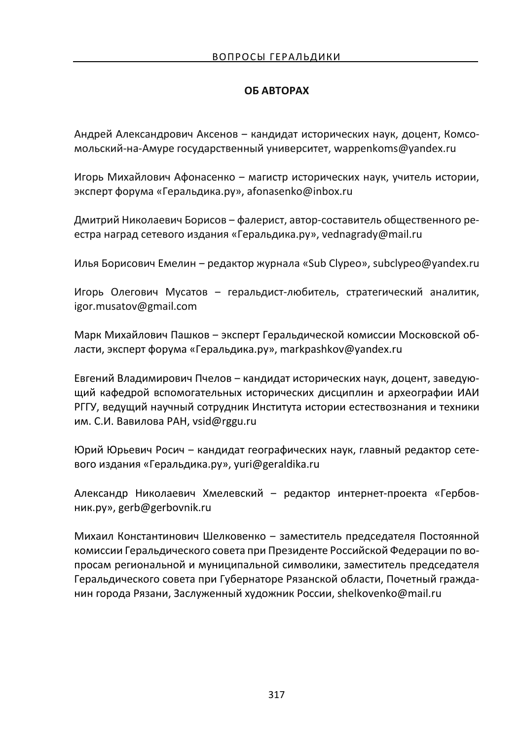## **ОБ АВТОРАХ**

Андрей Александрович Аксенов - кандидат исторических наук, доцент, Комсомольский-на-Амуре государственный университет, wappenkoms@yandex.ru

Игорь Михайлович Афонасенко ‒ магистр исторических наук, учитель истории, эксперт форума «Геральдика.ру», afonasenko@inbox.ru

Дмитрий Николаевич Борисов ‒ фалерист, автор-составитель общественного реестра наград сетевого издания «Геральдика.ру», vednagrady@mail.ru

Илья Борисович Емелин ‒ редактор журнала «Sub Clypeo», subclypeo@yandex.ru

Игорь Олегович Мусатов – геральдист-любитель, стратегический аналитик, igor.musatov@gmail.com

Марк Михайлович Пашков ‒ эксперт Геральдической комиссии Московской области, эксперт форума «Геральдика.ру», markpashkov@yandex.ru

Евгений Владимирович Пчелов – кандидат исторических наук, доцент, заведующий кафедрой вспомогательных исторических дисциплин и археографии ИАИ РГГУ, ведущий научный сотрудник Института истории естествознания и техники им. С.И. Вавилова РАН, vsid@rggu.ru

Юрий Юрьевич Росич ‒ кандидат географических наук, главный редактор сетевого издания «Геральдика.ру», yuri@geraldika.ru

Александр Николаевич Хмелевский - редактор интернет-проекта «Гербовник.ру», gerb@gerbovnik.ru

Михаил Константинович Шелковенко ‒ заместитель председателя Постоянной комиссии Геральдического совета при Президенте Российской Федерации по вопросам региональной и муниципальной символики, заместитель председателя Геральдического совета при Губернаторе Рязанской области, Почетный гражданин города Рязани, Заслуженный художник России, shelkovenko@mail.ru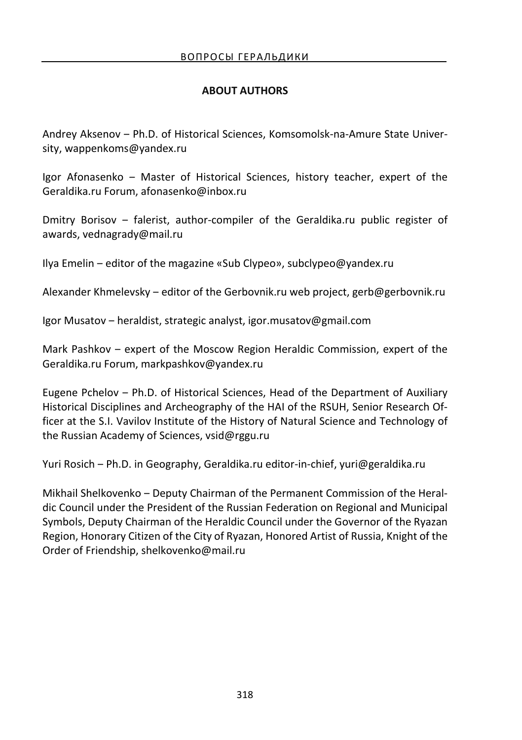## **ABOUT AUTHORS**

Andrey Aksenov ‒ Ph.D. of Historical Sciences, Komsomolsk-na-Amure State University, wappenkoms@yandex.ru

Igor Afonasenko ‒ Master of Historical Sciences, history teacher, expert of the Geraldika.ru Forum, afonasenko@inbox.ru

Dmitry Borisov ‒ falerist, author-compiler of the Geraldika.ru public register of awards, vednagrady@mail.ru

Ilya Emelin ‒ editor of the magazine «Sub Clypeo», subclypeo@yandex.ru

Alexander Khmelevsky ‒ editor of the Gerbovnik.ru web project, gerb@gerbovnik.ru

Igor Musatov ‒ heraldist, strategic analyst, igor.musatov@gmail.com

Mark Pashkov ‒ expert of the Moscow Region Heraldic Commission, expert of the Geraldika.ru Forum, markpashkov@yandex.ru

Eugene Pchelov ‒ Ph.D. of Historical Sciences, Head of the Department of Auxiliary Historical Disciplines and Archeography of the HAI of the RSUH, Senior Research Officer at the S.I. Vavilov Institute of the History of Natural Science and Technology of the Russian Academy of Sciences, vsid@rggu.ru

Yuri Rosich ‒ Ph.D. in Geography, Geraldika.ru editor-in-chief, yuri@geraldika.ru

Mikhail Shelkovenko ‒ Deputy Chairman of the Permanent Commission of the Heraldic Council under the President of the Russian Federation on Regional and Municipal Symbols, Deputy Chairman of the Heraldic Council under the Governor of the Ryazan Region, Honorary Citizen of the City of Ryazan, Honored Artist of Russia, Knight of the Order of Friendship, shelkovenko@mail.ru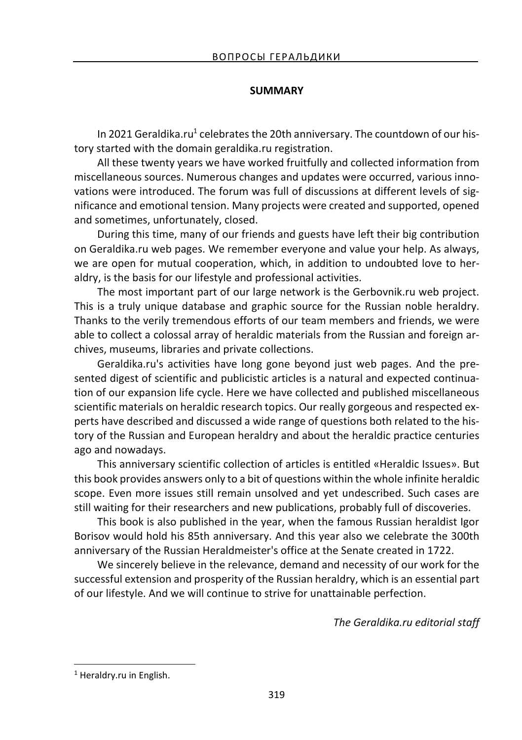## **SUMMARY**

In 2021 Geraldika.ru<sup>1</sup> celebrates the 20th anniversary. The countdown of our history started with the domain geraldika.ru registration.

All these twenty years we have worked fruitfully and collected information from miscellaneous sources. Numerous changes and updates were occurred, various innovations were introduced. The forum was full of discussions at different levels of significance and emotional tension. Many projects were created and supported, opened and sometimes, unfortunately, closed.

During this time, many of our friends and guests have left their big contribution on Geraldika.ru web pages. We remember everyone and value your help. As always, we are open for mutual cooperation, which, in addition to undoubted love to heraldry, is the basis for our lifestyle and professional activities.

The most important part of our large network is the Gerbovnik.ru web project. This is a truly unique database and graphic source for the Russian noble heraldry. Thanks to the verily tremendous efforts of our team members and friends, we were able to collect a colossal array of heraldic materials from the Russian and foreign archives, museums, libraries and private collections.

Geraldika.ru's activities have long gone beyond just web pages. And the presented digest of scientific and publicistic articles is a natural and expected continuation of our expansion life cycle. Here we have collected and published miscellaneous scientific materials on heraldic research topics. Our really gorgeous and respected experts have described and discussed a wide range of questions both related to the history of the Russian and European heraldry and about the heraldic practice centuries ago and nowadays.

This anniversary scientific collection of articles is entitled «Heraldic Issues». But this book provides answers only to a bit of questions within the whole infinite heraldic scope. Even more issues still remain unsolved and yet undescribed. Such cases are still waiting for their researchers and new publications, probably full of discoveries.

This book is also published in the year, when the famous Russian heraldist Igor Borisov would hold his 85th anniversary. And this year also we celebrate the 300th anniversary of the Russian Heraldmeister's office at the Senate created in 1722.

We sincerely believe in the relevance, demand and necessity of our work for the successful extension and prosperity of the Russian heraldry, which is an essential part of our lifestyle. And we will continue to strive for unattainable perfection.

*The Geraldika.ru editorial staff* 

 $\overline{a}$ 

<sup>&</sup>lt;sup>1</sup> Heraldry.ru in English.